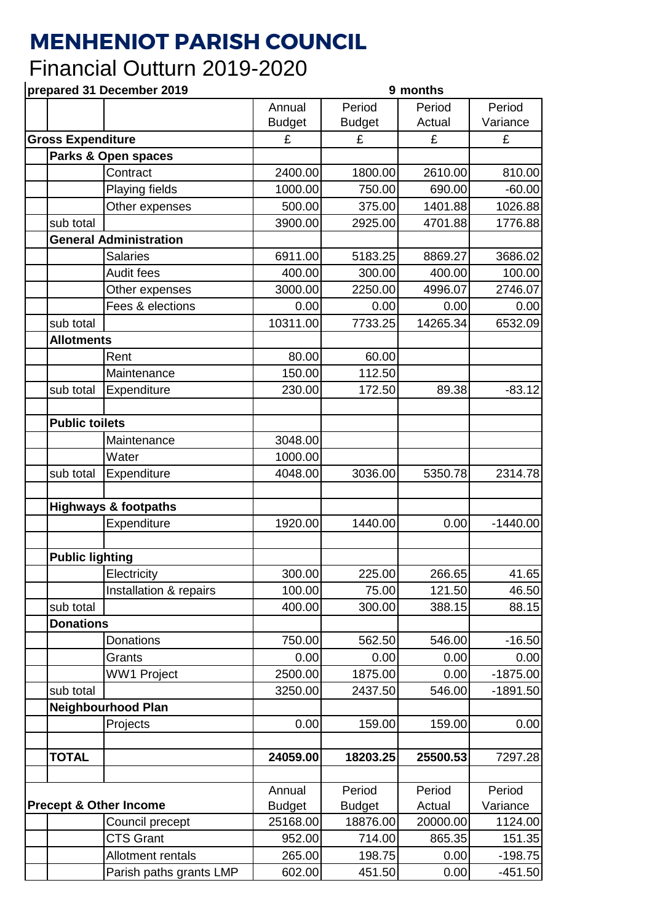## **MENHENIOT PARISH COUNCIL**

## Financial Outturn 2019-2020

**prepared 31 December 2019 9 months** Annual Budget Period Budget Period Actual Period Variance **Gross Expenditure**  $\left| \begin{array}{c} E \\ E \end{array} \right|$   $\left| \begin{array}{c} E \\ E \end{array} \right|$   $\left| \begin{array}{c} E \\ E \end{array} \right|$ **Parks & Open spaces** Contract 2400.00 1800.00 2610.00 810.00 Playing fields  $\vert$  1000.00 750.00 690.00 -60.00 Other expenses 500.00 375.00 1401.88 1026.88 sub total 3900.00 2925.00 4701.88 1776.88 **General Administration** Salaries 6911.00 5183.25 8869.27 3686.02 Audit fees | 400.00| 300.00| 400.00| 100.00 Other expenses 3000.00 2250.00 4996.07 2746.07 Fees & elections The contract of the contract of the contract of the contract of the contract of the contract o sub total 10311.00 7733.25 14265.34 6532.09 **Allotments** Rent 1 80.00 60.00 Maintenance 150.00 112.50 sub total Expenditure  $\vert$  230.00 172.50 89.38 -83.12 **Public toilets** Maintenance 1 3048.00 Water 1000.00 sub total Expenditure 4048.00 3036.00 5350.78 2314.78 **Highways & footpaths** Expenditure | 1920.00 1440.00 0.00 -1440.00 **Public lighting** Electricity 1 300.00 225.00 266.65 41.65 Installation & repairs  $\begin{vmatrix} 1 & 100.00 & 75.00 & 121.50 \end{vmatrix}$  46.50 sub total 400.00 300.00 388.15 88.15 **Donations** Donations 750.00 562.50 546.00 -16.50 Grants 0.00 0.00 0.00 0.00 WW1 Project  $\vert$  2500.00 1875.00 0.00 -1875.00 sub total 3250.00 2437.50 546.00 -1891.50 **Neighbourhood Plan** Projects 0.00 159.00 159.00 0.00 **TOTAL 24059.00 18203.25 25500.53** 7297.28 **Precept & Other Income** Annual **Budget** Period **Budget** Period **Actual** Period Variance Council precept 25168.00 18876.00 20000.00 1124.00 CTS Grant  $\begin{array}{|c|c|c|c|c|c|c|c|} \hline \end{array}$  952.00 714.00 865.35 151.35 Allotment rentals  $\begin{array}{|c|c|c|c|c|c|c|c|} \hline & & 265.00 & & 198.75 \end{array}$  0.00 -198.75 Parish paths grants LMP | 602.00 451.50 0.00 -451.50